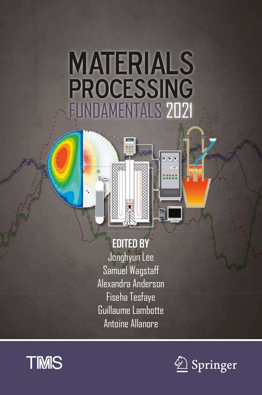# **MATERIALS PROCESSING** FUNDAMENTALS 2021

ERR

## **EDITED BY**

Jonghyun Lee Samuel Wagstaff Alexandra Anderson Fiseha Tesfaye Guillaume Lambotte Antoine Allanore



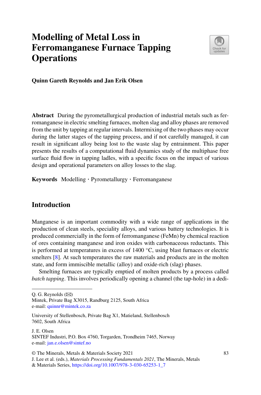### **Modelling of Metal Loss in Ferromanganese Furnace Tapping Operations**



**Quinn Gareth Reynolds and Jan Erik Olsen**

**Abstract** During the pyrometallurgical production of industrial metals such as ferromanganese in electric smelting furnaces, molten slag and alloy phases are removed from the unit by tapping at regular intervals. Intermixing of the two phases may occur during the latter stages of the tapping process, and if not carefully managed, it can result in significant alloy being lost to the waste slag by entrainment. This paper presents the results of a computational fluid dynamics study of the multiphase free surface fluid flow in tapping ladles, with a specific focus on the impact of various design and operational parameters on alloy losses to the slag.

**Keywords** Modelling · Pyrometallurgy · Ferromanganese

#### **Introduction**

Manganese is an important commodity with a wide range of applications in the production of clean steels, speciality alloys, and various battery technologies. It is produced commercially in the form of ferromanganese (FeMn) by chemical reaction of ores containing manganese and iron oxides with carbonaceous reductants. This is performed at temperatures in excess of 1400 ◦C, using blast furnaces or electric smelters [\[8\]](#page-10-0). At such temperatures the raw materials and products are in the molten state, and form immiscible metallic (alloy) and oxide-rich (slag) phases.

Smelting furnaces are typically emptied of molten products by a process called *batch tapping*. This involves periodically opening a channel (the tap-hole) in a dedi-

O. G. Reynolds  $(\boxtimes)$ 

Mintek, Private Bag X3015, Randburg 2125, South Africa e-mail: [quinnr@mintek.co.za](mailto:quinnr@mintek.co.za)

J. E. Olsen

© The Minerals, Metals & Materials Society 2021

University of Stellenbosch, Private Bag X1, Matieland, Stellenbosch 7602, South Africa

SINTEF Industri, P.O. Box 4760, Torgarden, Trondheim 7465, Norway e-mail: [jan.e.olsen@sintef.no](mailto:jan.e.olsen@sintef.no)

J. Lee et al. (eds.), *Materials Processing Fundamentals 2021*, The Minerals, Metals

<sup>&</sup>amp; Materials Series, [https://doi.org/10.1007/978-3-030-65253-1\\_7](https://doi.org/10.1007/978-3-030-65253-1_7)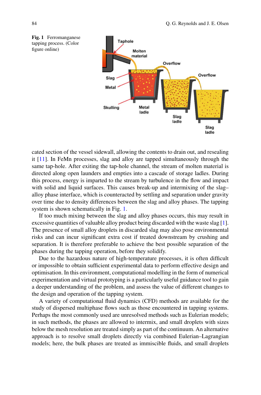<span id="page-2-0"></span>

cated section of the vessel sidewall, allowing the contents to drain out, and resealing it [\[11\]](#page-10-1). In FeMn processes, slag and alloy are tapped simultaneously through the same tap-hole. After exiting the tap-hole channel, the stream of molten material is directed along open launders and empties into a cascade of storage ladles. During this process, energy is imparted to the stream by turbulence in the flow and impact with solid and liquid surfaces. This causes break-up and intermixing of the slag– alloy phase interface, which is counteracted by settling and separation under gravity over time due to density differences between the slag and alloy phases. The tapping system is shown schematically in Fig. [1.](#page-2-0)

If too much mixing between the slag and alloy phases occurs, this may result in excessive quantities of valuable alloy product being discarded with the waste slag [\[1](#page-10-2)]. The presence of small alloy droplets in discarded slag may also pose environmental risks and can incur significant extra cost if treated downstream by crushing and separation. It is therefore preferable to achieve the best possible separation of the phases during the tapping operation, before they solidify.

Due to the hazardous nature of high-temperature processes, it is often difficult or impossible to obtain sufficient experimental data to perform effective design and optimisation. In this environment, computational modelling in the form of numerical experimentation and virtual prototyping is a particularly useful guidance tool to gain a deeper understanding of the problem, and assess the value of different changes to the design and operation of the tapping system.

A variety of computational fluid dynamics (CFD) methods are available for the study of dispersed multiphase flows such as those encountered in tapping systems. Perhaps the most commonly used are unresolved methods such as Eulerian models; in such methods, the phases are allowed to intermix, and small droplets with sizes below the mesh resolution are treated simply as part of the continuum. An alternative approach is to resolve small droplets directly via combined Eulerian–Lagrangian models; here, the bulk phases are treated as immiscible fluids, and small droplets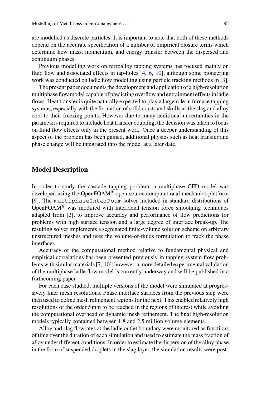are modelled as discrete particles. It is important to note that both of these methods depend on the accurate specification of a number of empirical closure terms which determine how mass, momentum, and energy transfer between the dispersed and continuum phases.

Previous modelling work on ferroalloy tapping systems has focused mainly on fluid flow and associated effects in tap-holes [\[4](#page-10-3), [6,](#page-10-4) [10\]](#page-10-5), although some pioneering work was conducted on ladle flow modelling using particle tracking methods in [\[3](#page-10-6)].

The present paper documents the development and application of a high-resolution multiphase flow model capable of predicting overflow and entrainment effects in ladle flows. Heat transfer is quite naturally expected to play a large role in furnace tapping systems, especially with the formation of solid crusts and skulls as the slag and alloy cool to their freezing points. However due to many additional uncertainties in the parameters required to include heat transfer coupling, the decision was taken to focus on fluid flow effects only in the present work. Once a deeper understanding of this aspect of the problem has been gained, additional physics such as heat transfer and phase change will be integrated into the model at a later date.

#### **Model Description**

In order to study the cascade tapping problem, a multiphase CFD model was developed using the OpenFOAM® open-source computational mechanics platform [\[9\]](#page-10-7). The multiphaseInterFoam solver included in standard distributions of OpenFOAM® was modified with interfacial tension force smoothing techniques adapted from [\[2](#page-10-8)], to improve accuracy and performance of flow predictions for problems with high surface tension and a large degree of interface break-up. The resulting solver implements a segregated finite-volume solution scheme on arbitrary unstructured meshes and uses the volume-of-fluids formulation to track the phase interfaces.

Accuracy of the computational method relative to fundamental physical and empirical correlations has been presented previously in tapping system flow problems with similar materials [\[7,](#page-10-9) [10\]](#page-10-5); however, a more detailed experimental validation of the multiphase ladle flow model is currently underway and will be published in a forthcoming paper.

For each case studied, multiple versions of the model were simulated at progressively finer mesh resolutions. Phase interface surfaces from the previous step were then used to define mesh refinement regions for the next. This enabled relatively high resolutions of the order 5 mm to be reached in the regions of interest while avoiding the computational overhead of dynamic mesh refinement. The final high-resolution models typically contained between 1.8 and 2.5 million volume elements.

Alloy and slag flowrates at the ladle outlet boundary were monitored as functions of time over the duration of each simulation and used to estimate the mass fraction of alloy under different conditions. In order to estimate the dispersion of the alloy phase in the form of suspended droplets in the slag layer, the simulation results were post-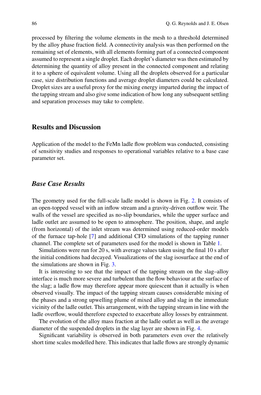processed by filtering the volume elements in the mesh to a threshold determined by the alloy phase fraction field. A connectivity analysis was then performed on the remaining set of elements, with all elements forming part of a connected component assumed to represent a single droplet. Each droplet's diameter was then estimated by determining the quantity of alloy present in the connected component and relating it to a sphere of equivalent volume. Using all the droplets observed for a particular case, size distribution functions and average droplet diameters could be calculated. Droplet sizes are a useful proxy for the mixing energy imparted during the impact of the tapping stream and also give some indication of how long any subsequent settling and separation processes may take to complete.

#### **Results and Discussion**

Application of the model to the FeMn ladle flow problem was conducted, consisting of sensitivity studies and responses to operational variables relative to a base case parameter set.

#### *Base Case Results*

The geometry used for the full-scale ladle model is shown in Fig. [2.](#page-5-0) It consists of an open-topped vessel with an inflow stream and a gravity-driven outflow weir. The walls of the vessel are specified as no-slip boundaries, while the upper surface and ladle outlet are assumed to be open to atmosphere. The position, shape, and angle (from horizontal) of the inlet stream was determined using reduced-order models of the furnace tap-hole [\[7\]](#page-10-9) and additional CFD simulations of the tapping runner channel. The complete set of parameters used for the model is shown in Table [1.](#page-5-1)

Simulations were run for 20 s, with average values taken using the final 10 s after the initial conditions had decayed. Visualizations of the slag isosurface at the end of the simulations are shown in Fig. [3.](#page-5-2)

It is interesting to see that the impact of the tapping stream on the slag–alloy interface is much more severe and turbulent than the flow behaviour at the surface of the slag; a ladle flow may therefore appear more quiescent than it actually is when observed visually. The impact of the tapping stream causes considerable mixing of the phases and a strong upwelling plume of mixed alloy and slag in the immediate vicinity of the ladle outlet. This arrangement, with the tapping stream in line with the ladle overflow, would therefore expected to exacerbate alloy losses by entrainment.

The evolution of the alloy mass fraction at the ladle outlet as well as the average diameter of the suspended droplets in the slag layer are shown in Fig. [4.](#page-6-0)

Significant variability is observed in both parameters even over the relatively short time scales modelled here. This indicates that ladle flows are strongly dynamic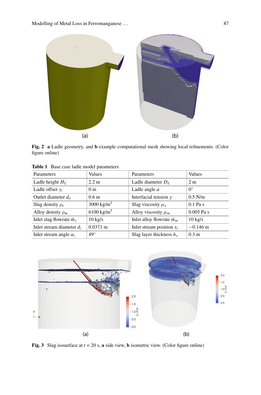

<span id="page-5-0"></span>**Fig. 2 a** Ladle geometry, and **b** example computational mesh showing local refinements. (Color figure online)

| Parameters                      | Values                 | Parameters                       | Values            |
|---------------------------------|------------------------|----------------------------------|-------------------|
| Ladle height $H_L$              | $2.2 \text{ m}$        | Ladle diameter $D_L$             | 2 <sub>m</sub>    |
| Ladle offset $y_i$              | 0 <sub>m</sub>         | Ladle angle $\alpha$             | $0^{\circ}$       |
| Outlet diameter $d_0$           | 0.6 <sub>m</sub>       | Interfacial tension $\gamma$     | $0.5$ N/m         |
| Slag density $\rho_s$           | 3000 kg/m <sup>3</sup> | Slag viscosity $\mu_s$           | $0.1$ Pa s        |
| Alloy density $\rho_m$          | $6100 \text{ kg/m}^3$  | Alloy viscosity $\mu_m$          | $0.005$ Pa s      |
| Inlet slag flowrate $\dot{m}_s$ | $10 \text{ kg/s}$      | Inlet alloy flowrate $\dot{m}_m$ | $10 \text{ kg/s}$ |
| Inlet stream diameter $d_i$     | $0.0371 \text{ m}$     | Inlet stream position $x_i$      | $-0.146$ m        |
| Inlet stream angle $\alpha_i$   | $49^\circ$             | Slag layer thickness $h_s$       | 0.3 <sub>m</sub>  |

<span id="page-5-1"></span>**Table 1** Base case ladle model parameters



<span id="page-5-2"></span>**Fig. 3** Slag isosurface at *t* = 20 s, **a** side view, **b** isometric view. (Color figure online)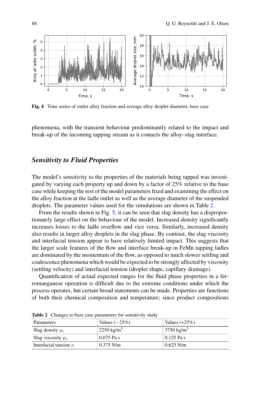

<span id="page-6-0"></span>**Fig. 4** Time series of outlet alloy fraction and average alloy droplet diameter, base case

phenomena, with the transient behaviour predominantly related to the impact and break-up of the incoming tapping stream as it contacts the alloy–slag interface.

#### *Sensitivity to Fluid Properties*

The model's sensitivity to the properties of the materials being tapped was investigated by varying each property up and down by a factor of 25% relative to the base case while keeping the rest of the model parameters fixed and examining the effect on the alloy fraction at the ladle outlet as well as the average diameter of the suspended droplets. The parameter values used for the simulations are shown in Table [2.](#page-6-1)

From the results shown in Fig. [5,](#page-7-0) it can be seen that slag density has a disproportionately large effect on the behaviour of the model. Increased density significantly increases losses to the ladle overflow and vice versa. Similarly, increased density also results in larger alloy droplets in the slag phase. By contrast, the slag viscosity and interfacial tension appear to have relatively limited impact. This suggests that the larger scale features of the flow and interface break-up in FeMn tapping ladles are dominated by the momentum of the flow, as opposed to much slower settling and coalescence phenomena which would be expected to be strongly affected by viscosity (settling velocity) and interfacial tension (droplet shape, capillary drainage).

Quantification of actual expected ranges for the fluid phase properties in a ferromanganese operation is difficult due to the extreme conditions under which the process operates, but certain broad statements can be made. Properties are functions of both their chemical composition and temperature; since product compositions

| Parameters                | Values $(-25%)$        | Values $(+25\%)$      |
|---------------------------|------------------------|-----------------------|
| Slag density $\rho_s$     | 2250 kg/m <sup>3</sup> | $3750 \text{ kg/m}^3$ |
| Slag viscosity $\mu_s$    | $0.075$ Pa s           | $0.125$ Pa s          |
| Interfacial tension $\nu$ | $0.375$ N/m            | $0.625$ N/m           |

<span id="page-6-1"></span>**Table 2** Changes to base case parameters for sensitivity study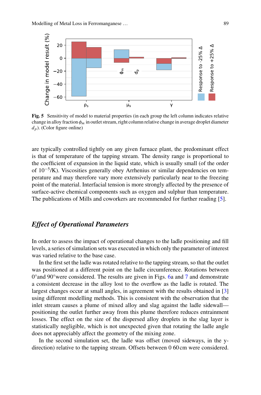

<span id="page-7-0"></span>**Fig. 5** Sensitivity of model to material properties (in each group the left column indicates relative change in alloy fraction  $\phi_m$  in outlet stream, right column relative change in average droplet diameter  $d_p$ ). (Color figure online)

are typically controlled tightly on any given furnace plant, the predominant effect is that of temperature of the tapping stream. The density range is proportional to the coefficient of expansion in the liquid state, which is usually small (of the order of 10−5/K). Viscosities generally obey Arrhenius or similar dependencies on temperature and may therefore vary more extensively particularly near to the freezing point of the material. Interfacial tension is more strongly affected by the presence of surface-active chemical components such as oxygen and sulphur than temperature. The publications of Mills and coworkers are recommended for further reading [\[5](#page-10-10)].

#### *Effect of Operational Parameters*

In order to assess the impact of operational changes to the ladle positioning and fill levels, a series of simulation sets was executed in which only the parameter of interest was varied relative to the base case.

In the first set the ladle was rotated relative to the tapping stream, so that the outlet was positioned at a different point on the ladle circumference. Rotations between  $0^{\circ}$  and 90° were considered. The results are given in Figs. [6a](#page-8-0) and [7](#page-8-1) and demonstrate a consistent decrease in the alloy lost to the overflow as the ladle is rotated. The largest changes occur at small angles, in agreement with the results obtained in [\[3\]](#page-10-6) using different modelling methods. This is consistent with the observation that the inlet stream causes a plume of mixed alloy and slag against the ladle sidewall positioning the outlet further away from this plume therefore reduces entrainment losses. The effect on the size of the dispersed alloy droplets in the slag layer is statistically negligible, which is not unexpected given that rotating the ladle angle does not appreciably affect the geometry of the mixing zone.

In the second simulation set, the ladle was offset (moved sideways, in the ydirection) relative to the tapping stream. Offsets between 0 60 cm were considered.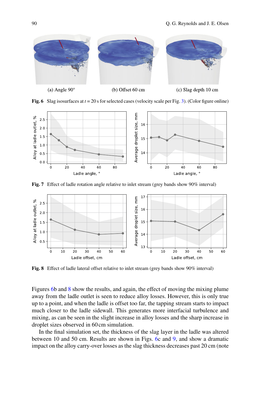

**Fig. 6** Slag isosurfaces at  $t = 20$  s for selected cases (velocity scale per Fig. [3\)](#page-5-2). (Color figure online)

<span id="page-8-0"></span>

<span id="page-8-1"></span>**Fig. 7** Effect of ladle rotation angle relative to inlet stream (grey bands show 90% interval)



<span id="page-8-2"></span>**Fig. 8** Effect of ladle lateral offset relative to inlet stream (grey bands show 90% interval)

Figures [6b](#page-8-0) and [8](#page-8-2) show the results, and again, the effect of moving the mixing plume away from the ladle outlet is seen to reduce alloy losses. However, this is only true up to a point, and when the ladle is offset too far, the tapping stream starts to impact much closer to the ladle sidewall. This generates more interfacial turbulence and mixing, as can be seen in the slight increase in alloy losses and the sharp increase in droplet sizes observed in 60 cm simulation.

In the final simulation set, the thickness of the slag layer in the ladle was altered between 10 and 50 cm. Results are shown in Figs. [6c](#page-8-0) and [9,](#page-9-0) and show a dramatic impact on the alloy carry-over losses as the slag thickness decreases past 20 cm (note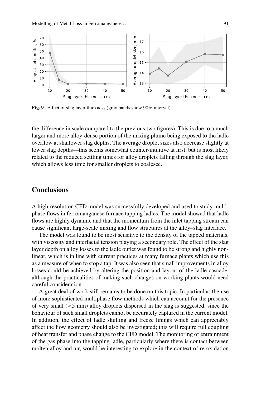

<span id="page-9-0"></span>**Fig. 9** Effect of slag layer thickness (grey bands show 90% interval)

the difference in scale compared to the previous two figures). This is due to a much larger and more alloy-dense portion of the mixing plume being exposed to the ladle overflow at shallower slag depths. The average droplet sizes also decrease slightly at lower slag depths—this seems somewhat counter-intuitive at first, but is most likely related to the reduced settling times for alloy droplets falling through the slag layer, which allows less time for smaller droplets to coalesce.

#### **Conclusions**

A high-resolution CFD model was successfully developed and used to study multiphase flows in ferromanganese furnace tapping ladles. The model showed that ladle flows are highly dynamic and that the momentum from the inlet tapping stream can cause significant large-scale mixing and flow structures at the alloy–slag interface.

The model was found to be most sensitive to the density of the tapped materials, with viscosity and interfacial tension playing a secondary role. The effect of the slag layer depth on alloy losses to the ladle outlet was found to be strong and highly nonlinear, which is in line with current practices at many furnace plants which use this as a measure of when to stop a tap. It was also seen that small improvements in alloy losses could be achieved by altering the position and layout of the ladle cascade, although the practicalities of making such changes on working plants would need careful consideration.

A great deal of work still remains to be done on this topic. In particular, the use of more sophisticated multiphase flow methods which can account for the presence of very small  $(<5$  mm) alloy droplets dispersed in the slag is suggested, since the behaviour of such small droplets cannot be accurately captured in the current model. In addition, the effect of ladle skulling and freeze linings which can appreciably affect the flow geometry should also be investigated; this will require full coupling of heat transfer and phase change to the CFD model. The monitoring of entrainment of the gas phase into the tapping ladle, particularly where there is contact between molten alloy and air, would be interesting to explore in the context of re-oxidation